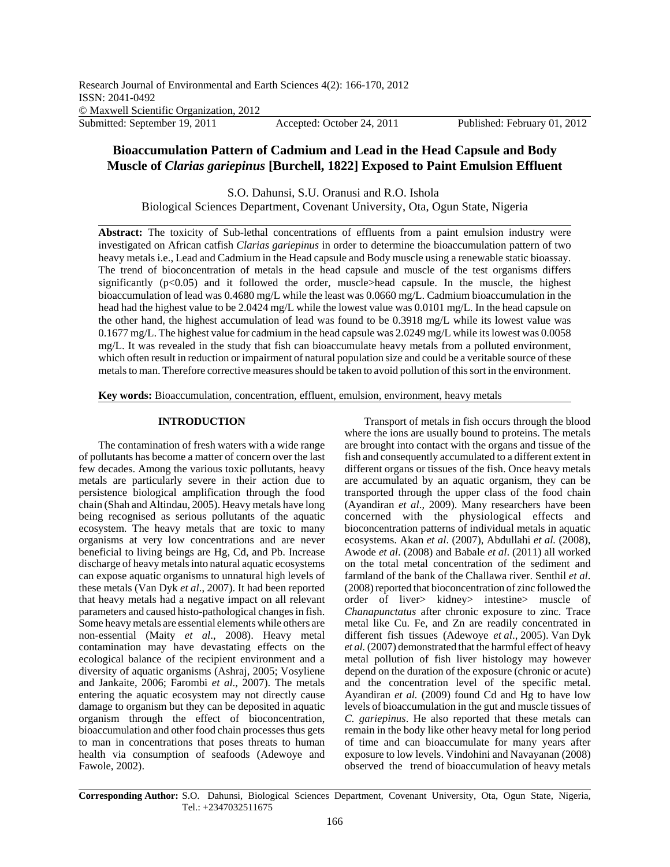# **Bioaccumulation Pattern of Cadmium and Lead in the Head Capsule and Body Muscle of** *Clarias gariepinus* **[Burchell, 1822] Exposed to Paint Emulsion Effluent**

S.O. Dahunsi, S.U. Oranusi and R.O. Ishola Biological Sciences Department, Covenant University, Ota, Ogun State, Nigeria

**Abstract:** The toxicity of Sub-lethal concentrations of effluents from a paint emulsion industry were investigated on African catfish *Clarias gariepinus* in order to determine the bioaccumulation pattern of two heavy metals i.e., Lead and Cadmium in the Head capsule and Body muscle using a renewable static bioassay. The trend of bioconcentration of metals in the head capsule and muscle of the test organisms differs significantly  $(p<0.05)$  and it followed the order, muscle>head capsule. In the muscle, the highest bioaccumulation of lead was 0.4680 mg/L while the least was 0.0660 mg/L. Cadmium bioaccumulation in the head had the highest value to be 2.0424 mg/L while the lowest value was 0.0101 mg/L. In the head capsule on the other hand, the highest accumulation of lead was found to be 0.3918 mg/L while its lowest value was 0.1677 mg/L. The highest value for cadmium in the head capsule was 2.0249 mg/L while its lowest was 0.0058 mg/L. It was revealed in the study that fish can bioaccumulate heavy metals from a polluted environment, which often result in reduction or impairment of natural population size and could be a veritable source of these metals to man. Therefore corrective measures should be taken to avoid pollution of this sort in the environment.

**Key words:** Bioaccumulation, concentration, effluent, emulsion, environment, heavy metals

## **INTRODUCTION**

The contamination of fresh waters with a wide range of pollutants has become a matter of concern over the last few decades. Among the various toxic pollutants, heavy metals are particularly severe in their action due to persistence biological amplification through the food chain (Shah and Altindau, 2005). Heavy metals have long being recognised as serious pollutants of the aquatic ecosystem. The heavy metals that are toxic to many organisms at very low concentrations and are never beneficial to living beings are Hg, Cd, and Pb. Increase discharge of heavy metals into natural aquatic ecosystems can expose aquatic organisms to unnatural high levels of these metals (Van Dyk *et al*., 2007). It had been reported that heavy metals had a negative impact on all relevant parameters and caused histo-pathological changes in fish. Some heavy metals are essential elements while others are non-essential (Maity *et al*., 2008). Heavy metal contamination may have devastating effects on the ecological balance of the recipient environment and a diversity of aquatic organisms (Ashraj, 2005; Vosyliene and Jankaite, 2006; Farombi *et al*., 2007). The metals entering the aquatic ecosystem may not directly cause damage to organism but they can be deposited in aquatic organism through the effect of bioconcentration, bioaccumulation and other food chain processes thus gets to man in concentrations that poses threats to human health via consumption of seafoods (Adewoye and Fawole, 2002).

Transport of metals in fish occurs through the blood where the ions are usually bound to proteins. The metals are brought into contact with the organs and tissue of the fish and consequently accumulated to a different extent in different organs or tissues of the fish. Once heavy metals are accumulated by an aquatic organism, they can be transported through the upper class of the food chain (Ayandiran *et al*., 2009). Many researchers have been concerned with the physiological effects and bioconcentration patterns of individual metals in aquatic ecosystems. Akan *et al*. (2007), Abdullahi *et al.* (2008), Awode *et al*. (2008) and Babale *et al*. (2011) all worked on the total metal concentration of the sediment and farmland of the bank of the Challawa river. Senthil *et al*. (2008) reported that bioconcentration of zinc followed the order of liver> kidney> intestine> muscle of *Chanapunctatus* after chronic exposure to zinc. Trace metal like Cu. Fe, and Zn are readily concentrated in different fish tissues (Adewoye *et al*., 2005). Van Dyk *et al.* (2007) demonstrated that the harmful effect of heavy metal pollution of fish liver histology may however depend on the duration of the exposure (chronic or acute) and the concentration level of the specific metal. Ayandiran *et al.* (2009) found Cd and Hg to have low levels of bioaccumulation in the gut and muscle tissues of *C. gariepinus*. He also reported that these metals can remain in the body like other heavy metal for long period of time and can bioaccumulate for many years after exposure to low levels. Vindohini and Navayanan (2008) observed the trend of bioaccumulation of heavy metals

**Corresponding Author:** S.O. Dahunsi, Biological Sciences Department, Covenant University, Ota, Ogun State, Nigeria, Tel.: +2347032511675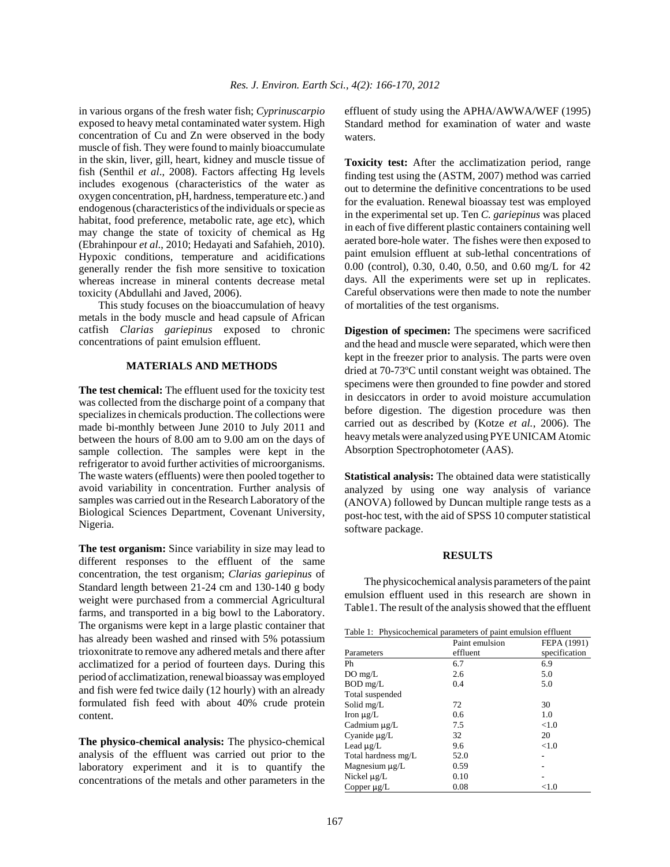in various organs of the fresh water fish; *Cyprinuscarpio* exposed to heavy metal contaminated water system. High concentration of Cu and Zn were observed in the body muscle of fish. They were found to mainly bioaccumulate in the skin, liver, gill, heart, kidney and muscle tissue of fish (Senthil *et al*., 2008). Factors affecting Hg levels includes exogenous (characteristics of the water as oxygen concentration, pH, hardness, temperature etc.) and endogenous (characteristics of the individuals or specie as habitat, food preference, metabolic rate, age etc), which may change the state of toxicity of chemical as Hg (Ebrahinpour *et al*., 2010; Hedayati and Safahieh, 2010). Hypoxic conditions, temperature and acidifications generally render the fish more sensitive to toxication whereas increase in mineral contents decrease metal toxicity (Abdullahi and Javed, 2006).

This study focuses on the bioaccumulation of heavy metals in the body muscle and head capsule of African catfish *Clarias gariepinus* exposed to chronic concentrations of paint emulsion effluent.

#### **MATERIALS AND METHODS**

**The test chemical:** The effluent used for the toxicity test was collected from the discharge point of a company that specializes in chemicals production. The collections were made bi-monthly between June 2010 to July 2011 and between the hours of 8.00 am to 9.00 am on the days of sample collection. The samples were kept in the refrigerator to avoid further activities of microorganisms. The waste waters (effluents) were then pooled together to avoid variability in concentration. Further analysis of samples was carried out in the Research Laboratory of the Biological Sciences Department, Covenant University, Nigeria.

**The test organism:** Since variability in size may lead to different responses to the effluent of the same concentration, the test organism; *Clarias gariepinus* of Standard length between 21-24 cm and 130-140 g body weight were purchased from a commercial Agricultural farms, and transported in a big bowl to the Laboratory. The organisms were kept in a large plastic container that has already been washed and rinsed with 5% potassium trioxonitrate to remove any adhered metals and there after acclimatized for a period of fourteen days. During this period of acclimatization, renewal bioassay was employed and fish were fed twice daily (12 hourly) with an already formulated fish feed with about 40% crude protein content.

**The physico-chemical analysis:** The physico-chemical analysis of the effluent was carried out prior to the laboratory experiment and it is to quantify the concentrations of the metals and other parameters in the

effluent of study using the APHA/AWWA/WEF (1995) Standard method for examination of water and waste waters.

**Toxicity test:** After the acclimatization period, range finding test using the (ASTM, 2007) method was carried out to determine the definitive concentrations to be used for the evaluation. Renewal bioassay test was employed in the experimental set up. Ten *C. gariepinus* was placed in each of five different plastic containers containing well aerated bore-hole water. The fishes were then exposed to paint emulsion effluent at sub-lethal concentrations of 0.00 (control), 0.30, 0.40, 0.50, and 0.60 mg/L for 42 days. All the experiments were set up in replicates. Careful observations were then made to note the number of mortalities of the test organisms.

**Digestion of specimen:** The specimens were sacrificed and the head and muscle were separated, which were then kept in the freezer prior to analysis. The parts were oven dried at 70-73ºC until constant weight was obtained. The specimens were then grounded to fine powder and stored in desiccators in order to avoid moisture accumulation before digestion. The digestion procedure was then carried out as described by (Kotze *et al.*, 2006). The heavy metals were analyzed using PYE UNICAM Atomic Absorption Spectrophotometer (AAS).

**Statistical analysis:** The obtained data were statistically analyzed by using one way analysis of variance (ANOVA) followed by Duncan multiple range tests as a post-hoc test, with the aid of SPSS 10 computer statistical software package.

### **RESULTS**

The physicochemical analysis parameters of the paint emulsion effluent used in this research are shown in Table1. The result of the analysis showed that the effluent

| Table 1: Physicochemical parameters of paint emulsion effluent |  |  |
|----------------------------------------------------------------|--|--|
|                                                                |  |  |

| Table 1. Thysicochemical parameters of pann emaision errittent |                |               |  |  |
|----------------------------------------------------------------|----------------|---------------|--|--|
|                                                                | Paint emulsion | FEPA (1991)   |  |  |
| Parameters                                                     | effluent       | specification |  |  |
| Ph                                                             | 6.7            | 6.9           |  |  |
| DO mg/L                                                        | 2.6            | 5.0           |  |  |
| BOD mg/L                                                       | 0.4            | 5.0           |  |  |
| Total suspended                                                |                |               |  |  |
| Solid mg/L                                                     | 72             | 30            |  |  |
| Iron $\mu$ g/L                                                 | 0.6            | 1.0           |  |  |
| Cadmium µg/L                                                   | 7.5            | < 1.0         |  |  |
| Cyanide $\mu$ g/L                                              | 32             | 20            |  |  |
| Lead µg/L                                                      | 9.6            | < 1.0         |  |  |
| Total hardness mg/L                                            | 52.0           |               |  |  |
| Magnesium µg/L                                                 | 0.59           |               |  |  |
| Nickel µg/L                                                    | 0.10           |               |  |  |
| Copper $\mu$ g/L                                               | 0.08           | ${<}1.0$      |  |  |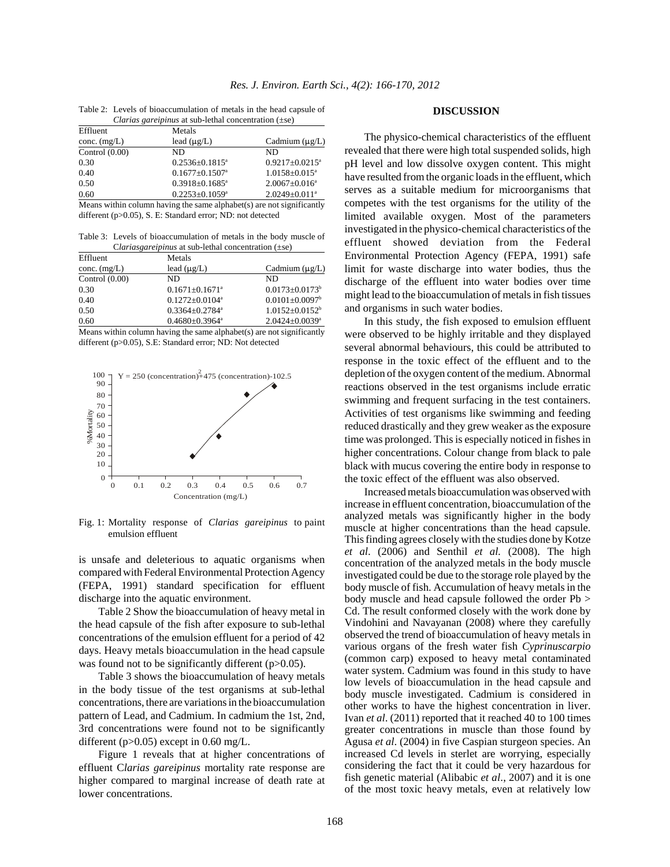| Effluent         | Metals                           |                                 |
|------------------|----------------------------------|---------------------------------|
| conc. $(mg/L)$   | lead $(\mu g/L)$                 | Cadmium $(\mu g/L)$             |
| Control $(0.00)$ | ND                               | ND                              |
| 0.30             | $0.2536 + 0.1815^a$              | $0.9217 + 0.0215^a$             |
| 0.40             | $0.1677 \pm 0.1507$ <sup>a</sup> | $1.0158 \pm 0.015$ <sup>a</sup> |
| 0.50             | $0.3918 \pm 0.1685$ <sup>a</sup> | $2.0067 \pm 0.016^a$            |
| 0.60             | $0.2253 \pm 0.1059^a$            | $2.0249 \pm 0.011$ <sup>a</sup> |

Table 2: Levels of bioaccumulation of metals in the head capsule of *Clarias gareipinus* at sub-lethal concentration (±se)

Means within column having the same alphabet $(s)$  are not significantly different (p>0.05), S. E: Standard error; ND: not detected

Table 3: Levels of bioaccumulation of metals in the body muscle of C*lariasgareipinus* at sub-lethal concentration (±se)

| Effluent         | Metals                           |                                  |
|------------------|----------------------------------|----------------------------------|
| conc. $(mg/L)$   | lead $(\mu g/L)$                 | Cadmium $(\mu g/L)$              |
| Control $(0.00)$ | ND                               | ND                               |
| 0.30             | $0.1671 \pm 0.1671$ <sup>a</sup> | $0.0173 \pm 0.0173$ <sup>b</sup> |
| 0.40             | $0.1272 + 0.0104^a$              | $0.0101 \pm 0.0097$ <sup>b</sup> |
| 0.50             | $0.3364 \pm 0.2784$ <sup>a</sup> | $1.0152 + 0.0152^b$              |
| 0.60             | $0.4680 \pm 0.3964$ <sup>a</sup> | $2.0424 \pm 0.0039$ <sup>a</sup> |

Means within column having the same alphabet(s) are not significantly different (p>0.05), S.E: Standard error; ND: Not detected



Fig. 1: Mortality response of *Clarias gareipinus* to paint emulsion effluent

is unsafe and deleterious to aquatic organisms when compared with Federal Environmental Protection Agency (FEPA, 1991) standard specification for effluent discharge into the aquatic environment.

Table 2 Show the bioaccumulation of heavy metal in the head capsule of the fish after exposure to sub-lethal concentrations of the emulsion effluent for a period of 42 days. Heavy metals bioaccumulation in the head capsule was found not to be significantly different (p>0.05).

Table 3 shows the bioaccumulation of heavy metals in the body tissue of the test organisms at sub-lethal concentrations, there are variations in the bioaccumulation pattern of Lead, and Cadmium. In cadmium the 1st, 2nd, 3rd concentrations were found not to be significantly different (p>0.05) except in 0.60 mg/L.

Figure 1 reveals that at higher concentrations of effluent C*larias gareipinus* mortality rate response are higher compared to marginal increase of death rate at lower concentrations.

#### **DISCUSSION**

The physico-chemical characteristics of the effluent revealed that there were high total suspended solids, high pH level and low dissolve oxygen content. This might have resulted from the organic loads in the effluent, which serves as a suitable medium for microorganisms that competes with the test organisms for the utility of the limited available oxygen. Most of the parameters investigated in the physico-chemical characteristics of the effluent showed deviation from the Federal Environmental Protection Agency (FEPA, 1991) safe limit for waste discharge into water bodies, thus the discharge of the effluent into water bodies over time might lead to the bioaccumulation of metals in fish tissues and organisms in such water bodies.

In this study, the fish exposed to emulsion effluent were observed to be highly irritable and they displayed several abnormal behaviours, this could be attributed to response in the toxic effect of the effluent and to the depletion of the oxygen content of the medium. Abnormal reactions observed in the test organisms include erratic swimming and frequent surfacing in the test containers. Activities of test organisms like swimming and feeding reduced drastically and they grew weaker as the exposure time was prolonged. This is especially noticed in fishes in higher concentrations. Colour change from black to pale black with mucus covering the entire body in response to the toxic effect of the effluent was also observed.

Increased metals bioaccumulation was observed with increase in effluent concentration, bioaccumulation of the analyzed metals was significantly higher in the body muscle at higher concentrations than the head capsule. This finding agrees closely with the studies done by Kotze *et al*. (2006) and Senthil *et al.* (2008). The high concentration of the analyzed metals in the body muscle investigated could be due to the storage role played by the body muscle of fish. Accumulation of heavy metals in the body muscle and head capsule followed the order Pb > Cd. The result conformed closely with the work done by Vindohini and Navayanan (2008) where they carefully observed the trend of bioaccumulation of heavy metals in various organs of the fresh water fish *Cyprinuscarpio* (common carp) exposed to heavy metal contaminated water system. Cadmium was found in this study to have low levels of bioaccumulation in the head capsule and body muscle investigated. Cadmium is considered in other works to have the highest concentration in liver. Ivan *et al*. (2011) reported that it reached 40 to 100 times greater concentrations in muscle than those found by Agusa *et al*. (2004) in five Caspian sturgeon species. An increased Cd levels in sterlet are worrying, especially considering the fact that it could be very hazardous for fish genetic material (Alibabic *et al*., 2007) and it is one of the most toxic heavy metals, even at relatively low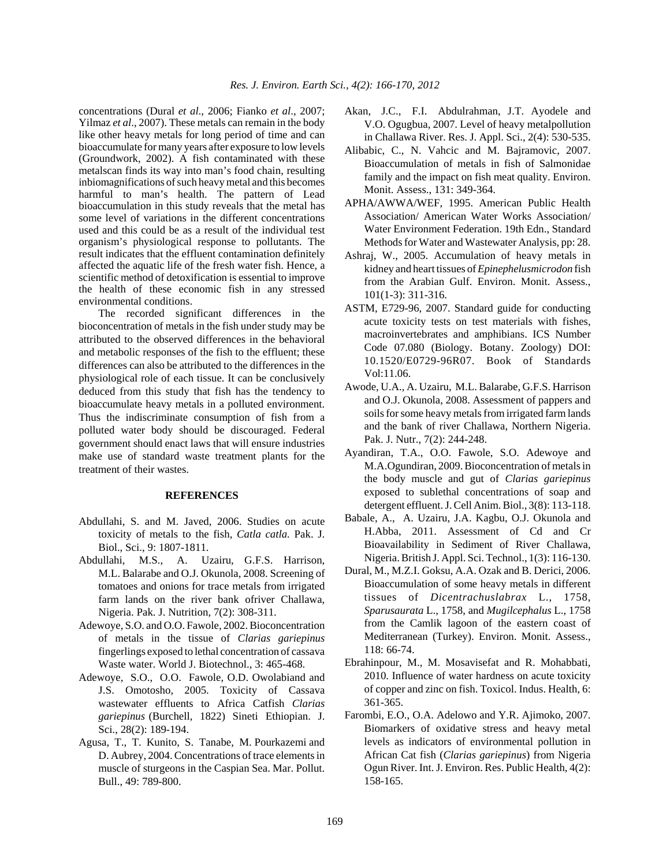concentrations (Dural *et al*., 2006; Fianko *et al*., 2007; Yilmaz *et al*., 2007). These metals can remain in the body like other heavy metals for long period of time and can bioaccumulate for many years after exposure to low levels (Groundwork, 2002). A fish contaminated with these metalscan finds its way into man's food chain, resulting inbiomagnifications of such heavy metal and this becomes harmful to man's health. The pattern of Lead bioaccumulation in this study reveals that the metal has some level of variations in the different concentrations used and this could be as a result of the individual test organism's physiological response to pollutants. The result indicates that the effluent contamination definitely affected the aquatic life of the fresh water fish. Hence, a scientific method of detoxification is essential to improve the health of these economic fish in any stressed environmental conditions.

The recorded significant differences in the bioconcentration of metals in the fish under study may be attributed to the observed differences in the behavioral and metabolic responses of the fish to the effluent; these differences can also be attributed to the differences in the physiological role of each tissue. It can be conclusively deduced from this study that fish has the tendency to bioaccumulate heavy metals in a polluted environment. Thus the indiscriminate consumption of fish from a polluted water body should be discouraged. Federal government should enact laws that will ensure industries make use of standard waste treatment plants for the treatment of their wastes.

# **REFERENCES**

- Abdullahi, S. and M. Javed, 2006. Studies on acute toxicity of metals to the fish, *Catla catla.* Pak. J. Biol., Sci., 9: 1807-1811.
- Abdullahi, M.S., A. Uzairu, G.F.S. Harrison, M.L. Balarabe and O.J. Okunola, 2008. Screening of tomatoes and onions for trace metals from irrigated farm lands on the river bank ofriver Challawa, Nigeria. Pak. J. Nutrition, 7(2): 308-311.
- Adewoye, S.O. and O.O. Fawole, 2002. Bioconcentration of metals in the tissue of *Clarias gariepinus* fingerlings exposed to lethal concentration of cassava Waste water. World J. Biotechnol., 3: 465-468.
- Adewoye, S.O., O.O. Fawole, O.D. Owolabiand and J.S. Omotosho, 2005. Toxicity of Cassava wastewater effluents to Africa Catfish *Clarias gariepinus* (Burchell, 1822) Sineti Ethiopian. J. Sci., 28(2): 189-194.
- Agusa, T., T. Kunito, S. Tanabe, M. Pourkazemi and D. Aubrey, 2004. Concentrations of trace elements in muscle of sturgeons in the Caspian Sea. Mar. Pollut. Bull., 49: 789-800.
- Akan, J.C., F.I. Abdulrahman, J.T. Ayodele and V.O. Ogugbua, 2007. Level of heavy metalpollution in Challawa River. Res. J. Appl. Sci., 2(4): 530-535.
- Alibabic, C., N. Vahcic and M. Bajramovic, 2007. Bioaccumulation of metals in fish of Salmonidae family and the impact on fish meat quality. Environ. Monit. Assess., 131: 349-364.
- APHA/AWWA/WEF, 1995. American Public Health Association/ American Water Works Association/ Water Environment Federation. 19th Edn., Standard Methods for Water and Wastewater Analysis, pp: 28.
- Ashraj, W., 2005. Accumulation of heavy metals in kidney and heart tissues of *Epinephelusmicrodon* fish from the Arabian Gulf. Environ. Monit. Assess., 101(1-3): 311-316.
- ASTM, E729-96, 2007. Standard guide for conducting acute toxicity tests on test materials with fishes, macroinvertebrates and amphibians. ICS Number Code 07.080 (Biology. Botany. Zoology) DOI: 10.1520/E0729-96R07. Book of Standards Vol:11.06.
- Awode, U.A., A. Uzairu, M.L. Balarabe, G.F.S. Harrison and O.J. Okunola, 2008. Assessment of pappers and soils for some heavy metals from irrigated farm lands and the bank of river Challawa, Northern Nigeria. Pak. J. Nutr., 7(2): 244-248.
- Ayandiran, T.A., O.O. Fawole, S.O. Adewoye and M.A.Ogundiran, 2009. Bioconcentration of metals in the body muscle and gut of *Clarias gariepinus* exposed to sublethal concentrations of soap and detergent effluent. J. Cell Anim. Biol., 3(8): 113-118.
- Babale, A., A. Uzairu, J.A. Kagbu, O.J. Okunola and H.Abba, 2011. Assessment of Cd and Cr Bioavailability in Sediment of River Challawa, Nigeria.British J. Appl. Sci. Technol., 1(3): 116-130.
- Dural, M., M.Z.I. Goksu, A.A. Ozak and B. Derici, 2006. Bioaccumulation of some heavy metals in different tissues of *Dicentrachuslabrax* L., 1758, *Sparusaurata* L., 1758, and *Mugilcephalus* L., 1758 from the Camlik lagoon of the eastern coast of Mediterranean (Turkey). Environ. Monit. Assess., 118: 66-74.
- Ebrahinpour, M., M. Mosavisefat and R. Mohabbati, 2010. Influence of water hardness on acute toxicity of copper and zinc on fish. Toxicol. Indus. Health, 6: 361-365.
- Farombi, E.O., O.A. Adelowo and Y.R. Ajimoko, 2007. Biomarkers of oxidative stress and heavy metal levels as indicators of environmental pollution in African Cat fish (*Clarias gariepinus*) from Nigeria Ogun River. Int. J. Environ. Res. Public Health, 4(2): 158-165.